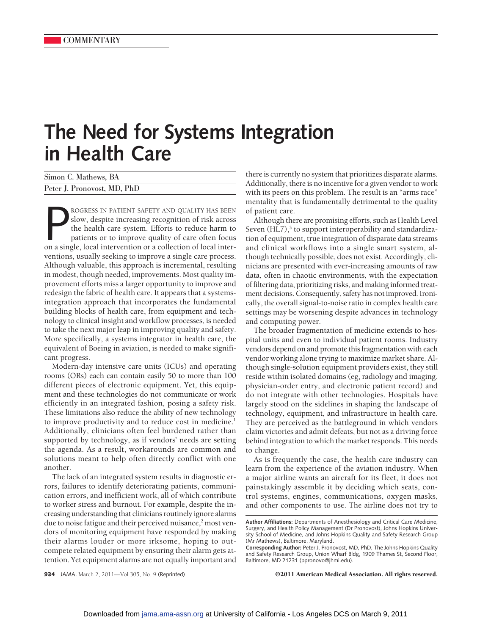## **The Need for Systems Integration in Health Care**

| Simon C. Mathews, BA        |  |
|-----------------------------|--|
| Peter J. Pronovost, MD, PhD |  |

ROGRESS IN PATIENT SAFETY AND QUALITY HAS BEEN slow, despite increasing recognition of risk across the health care system. Efforts to reduce harm to patients or to improve quality of care often focus on a single, local int ROGRESS IN PATIENT SAFETY AND QUALITY HAS BEEN slow, despite increasing recognition of risk across the health care system. Efforts to reduce harm to patients or to improve quality of care often focus ventions, usually seeking to improve a single care process. Although valuable, this approach is incremental, resulting in modest, though needed, improvements. Most quality improvement efforts miss a larger opportunity to improve and redesign the fabric of health care. It appears that a systemsintegration approach that incorporates the fundamental building blocks of health care, from equipment and technology to clinical insight and workflow processes, is needed to take the next major leap in improving quality and safety. More specifically, a systems integrator in health care, the equivalent of Boeing in aviation, is needed to make significant progress.

Modern-day intensive care units (ICUs) and operating rooms (ORs) each can contain easily 50 to more than 100 different pieces of electronic equipment. Yet, this equipment and these technologies do not communicate or work efficiently in an integrated fashion, posing a safety risk. These limitations also reduce the ability of new technology to improve productivity and to reduce cost in medicine.<sup>1</sup> Additionally, clinicians often feel burdened rather than supported by technology, as if vendors' needs are setting the agenda. As a result, workarounds are common and solutions meant to help often directly conflict with one another.

The lack of an integrated system results in diagnostic errors, failures to identify deteriorating patients, communication errors, and inefficient work, all of which contribute to worker stress and burnout. For example, despite the increasing understanding that clinicians routinely ignore alarms due to noise fatigue and their perceived nuisance, $2 \text{ most ven-}$ dors of monitoring equipment have responded by making their alarms louder or more irksome, hoping to outcompete related equipment by ensuring their alarm gets attention. Yet equipment alarms are not equally important and

there is currently no system that prioritizes disparate alarms. Additionally, there is no incentive for a given vendor to work with its peers on this problem. The result is an "arms race" mentality that is fundamentally detrimental to the quality of patient care.

Although there are promising efforts, such as Health Level Seven  $(HL7)$ ,<sup>3</sup> to support interoperability and standardization of equipment, true integration of disparate data streams and clinical workflows into a single smart system, although technically possible, does not exist. Accordingly, clinicians are presented with ever-increasing amounts of raw data, often in chaotic environments, with the expectation of filtering data, prioritizing risks, and making informed treatment decisions. Consequently, safety has not improved. Ironically, the overall signal-to-noise ratio in complex health care settings may be worsening despite advances in technology and computing power.

The broader fragmentation of medicine extends to hospital units and even to individual patient rooms. Industry vendors depend on and promote this fragmentation with each vendor working alone trying to maximize market share. Although single-solution equipment providers exist, they still reside within isolated domains (eg, radiology and imaging, physician-order entry, and electronic patient record) and do not integrate with other technologies. Hospitals have largely stood on the sidelines in shaping the landscape of technology, equipment, and infrastructure in health care. They are perceived as the battleground in which vendors claim victories and admit defeats, but not as a driving force behind integration to which the market responds. This needs to change.

As is frequently the case, the health care industry can learn from the experience of the aviation industry. When a major airline wants an aircraft for its fleet, it does not painstakingly assemble it by deciding which seats, control systems, engines, communications, oxygen masks, and other components to use. The airline does not try to

**934** JAMA, March 2, 2011—Vol 305, No. 9 (Reprinted) **C2011 American Medical Association. All rights reserved.** 

**Author Affiliations:** Departments of Anesthesiology and Critical Care Medicine, Surgery, and Health Policy Management (Dr Pronovost), Johns Hopkins University School of Medicine, and Johns Hopkins Quality and Safety Research Group (Mr Mathews), Baltimore, Maryland.

**Corresponding Author:** Peter J. Pronovost, MD, PhD, The Johns Hopkins Quality and Safety Research Group, Union Wharf Bldg, 1909 Thames St, Second Floor, Baltimore, MD 21231 (ppronovo@jhmi.edu).